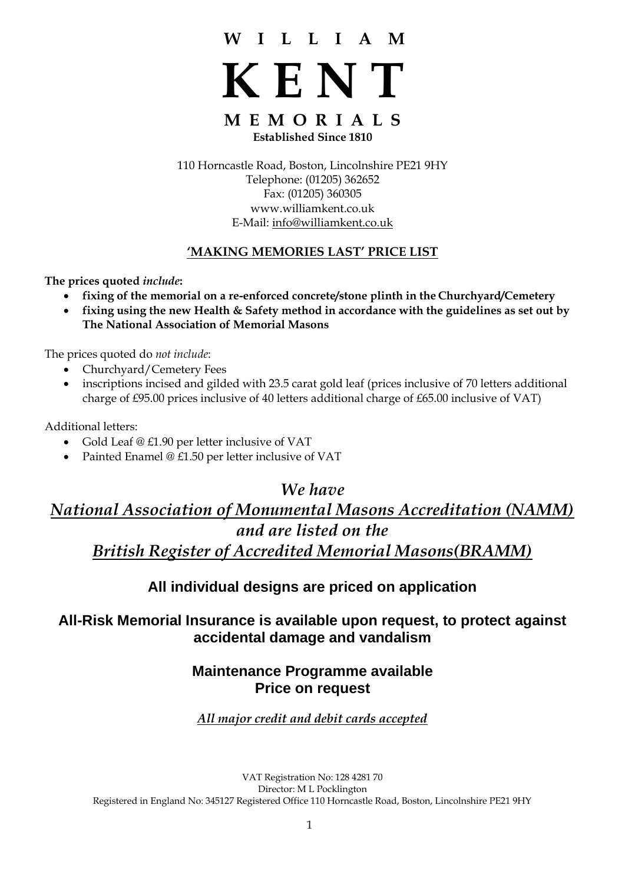# **W I L L I A M**

**K E N T**

# **M E M O R I A L S Established Since 1810**

110 Horncastle Road, Boston, Lincolnshire PE21 9HY Telephone: (01205) 362652 Fax: (01205) 360305 [www.williamkent.co.uk](http://www.williamkent.co.uk/) E-Mail: [info@williamkent.co.uk](mailto:info@williamkent.co.uk)

# **'MAKING MEMORIES LAST' PRICE LIST**

**The prices quoted** *include***:**

- **fixing of the memorial on a re-enforced concrete/stone plinth in the Churchyard/Cemetery**
- **fixing using the new Health & Safety method in accordance with the guidelines as set out by The National Association of Memorial Masons**

The prices quoted do *not include*:

- Churchyard/Cemetery Fees
- inscriptions incised and gilded with 23.5 carat gold leaf (prices inclusive of 70 letters additional charge of £95.00 prices inclusive of 40 letters additional charge of £65.00 inclusive of VAT)

Additional letters:

- Gold Leaf @ £1.90 per letter inclusive of VAT
- Painted Enamel @ £1.50 per letter inclusive of VAT

# *We have*

# *National Association of Monumental Masons Accreditation (NAMM) and are listed on the British Register of Accredited Memorial Masons(BRAMM)*

# **All individual designs are priced on application**

# **All-Risk Memorial Insurance is available upon request, to protect against accidental damage and vandalism**

# **Maintenance Programme available Price on request**

# *All major credit and debit cards accepted*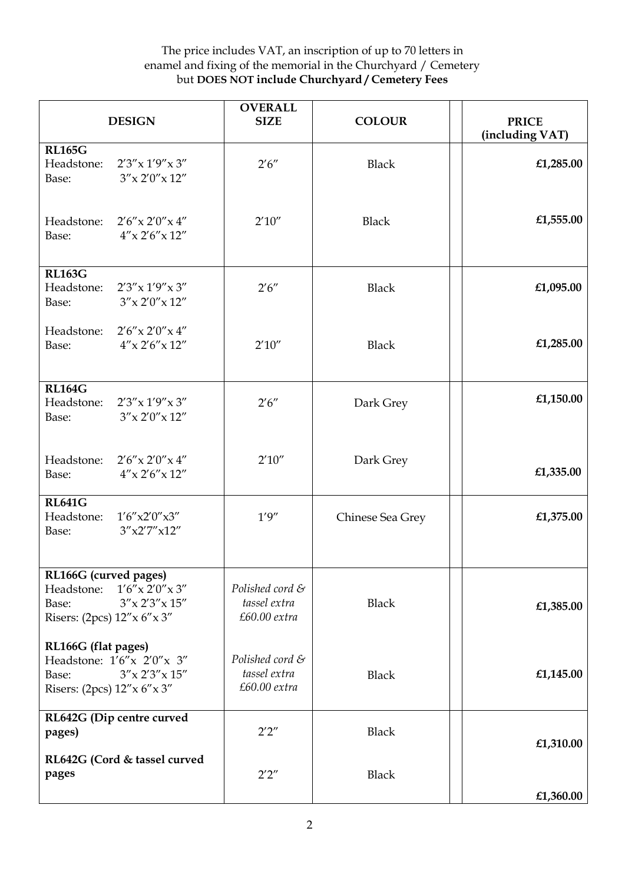| <b>DESIGN</b>                                                                                                                   | <b>OVERALL</b><br><b>SIZE</b>                     | <b>COLOUR</b>    | <b>PRICE</b><br>(including VAT) |
|---------------------------------------------------------------------------------------------------------------------------------|---------------------------------------------------|------------------|---------------------------------|
| <b>RL165G</b><br>$2'3''$ x $1'9''$ x $3''$<br>Headstone:<br>$3''$ x 2'0" x 12"<br>Base:                                         | 2'6''                                             | <b>Black</b>     | £1,285.00                       |
| Headstone: $2'6''x 2'0''x 4''$<br>$4''$ x 2'6" x 12"<br>Base:                                                                   | 2'10''                                            | <b>Black</b>     | £1,555.00                       |
| <b>RL163G</b><br>2'3''x 1'9''x 3''<br>Headstone:<br>$3''$ x 2'0" x 12"<br>Base:                                                 | 2'6''                                             | <b>Black</b>     | £1,095.00                       |
| Headstone:<br>$2'6''$ x $2'0''$ x $4''$<br>$4''$ x 2'6" x 12"<br>Base:                                                          | 2'10''                                            | <b>Black</b>     | £1,285.00                       |
| <b>RL164G</b><br>Headstone:<br>$2'3''$ x $1'9''$ x $3''$<br>$3''$ x 2'0" x 12"<br>Base:                                         | 2'6''                                             | Dark Grey        | £1,150.00                       |
| Headstone:<br>$2'6''$ x $2'0''$ x $4''$<br>$4''$ x 2'6" x 12"<br>Base:                                                          | 2'10''                                            | Dark Grey        | £1,335.00                       |
| <b>RL641G</b><br>Headstone:<br>1'6''x2'0''x3''<br>3''x2'7''x12''<br>Base:                                                       | 1'9''                                             | Chinese Sea Grey | £1,375.00                       |
| RL166G (curved pages)<br>Headstone:<br>$1'6''$ x $2'0''$ x $3''$<br>$3''$ x 2'3" x 15"<br>Base:<br>Risers: (2pcs) 12" x 6" x 3" | Polished cord &<br>tassel extra<br>$£60.00$ extra | <b>Black</b>     | £1,385.00                       |
| RL166G (flat pages)<br>Headstone: $1'6''x$ 2'0" $x$ 3"<br>$3''$ x 2'3" x 15"<br>Base:<br>Risers: (2pcs) 12" x 6" x 3"           | Polished cord &<br>tassel extra<br>$£60.00$ extra | <b>Black</b>     | £1,145.00                       |
| RL642G (Dip centre curved<br>pages)                                                                                             | 2'2''                                             | <b>Black</b>     | £1,310.00                       |
| RL642G (Cord & tassel curved<br>pages                                                                                           | 2'2''                                             | <b>Black</b>     | £1,360.00                       |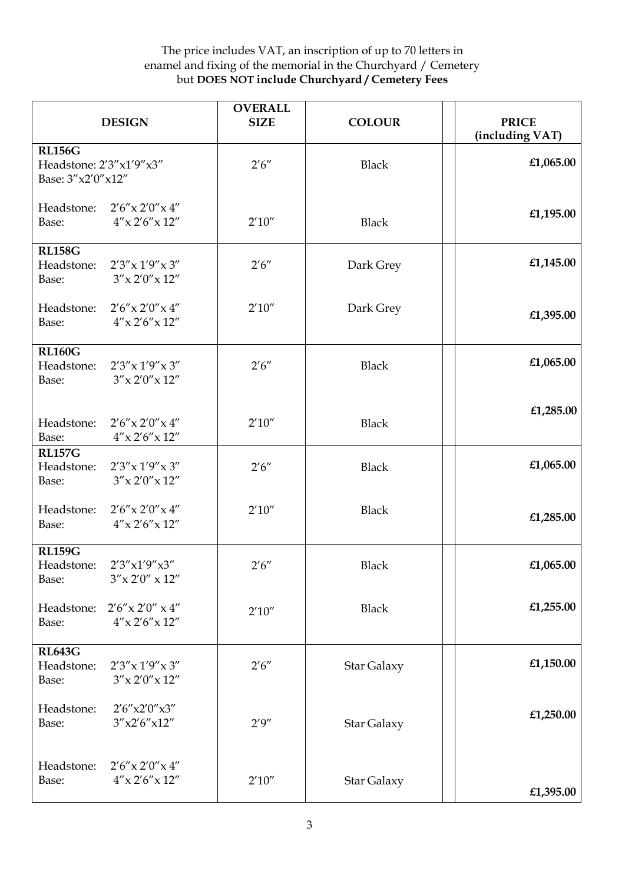|                                                                    | <b>DESIGN</b>                                   | <b>OVERALL</b><br><b>SIZE</b> | <b>COLOUR</b>      | <b>PRICE</b><br>(including VAT) |
|--------------------------------------------------------------------|-------------------------------------------------|-------------------------------|--------------------|---------------------------------|
| <b>RL156G</b><br>Headstone: 2'3"x1'9"x3"<br>Base: $3''x2'0''x12''$ |                                                 | 2'6''                         | <b>Black</b>       | £1,065.00                       |
| Headstone:<br>Base:                                                | $2'6''$ x $2'0''$ x $4''$<br>$4''$ x 2'6" x 12" | 2'10''                        | <b>Black</b>       | £1,195.00                       |
| <b>RL158G</b><br>Headstone:<br>Base:                               | $2'3''$ x $1'9''$ x $3''$<br>$3''$ x 2'0" x 12" | 2'6''                         | Dark Grey          | £1,145.00                       |
| Headstone:<br>Base:                                                | $2'6''$ x $2'0''$ x $4''$<br>$4''$ x 2'6" x 12" | 2'10''                        | Dark Grey          | £1,395.00                       |
| <b>RL160G</b><br>Headstone:<br>Base:                               | $2'3''$ x $1'9''$ x $3''$<br>$3''$ x 2'0" x 12" | 2'6''                         | <b>Black</b>       | £1,065.00                       |
| Headstone:<br>Base:                                                | $2'6''$ x $2'0''$ x $4''$<br>$4''$ x 2'6" x 12" | 2'10''                        | <b>Black</b>       | £1,285.00                       |
| <b>RL157G</b><br>Headstone:<br>Base:                               | $2'3''$ x $1'9''$ x $3''$<br>$3''$ x 2'0" x 12" | 2'6''                         | <b>Black</b>       | £1,065.00                       |
| Headstone:<br>Base:                                                | $2'6''$ x $2'0''$ x $4''$<br>$4''$ x 2'6" x 12" | 2'10''                        | <b>Black</b>       | £1,285.00                       |
| <b>RL159G</b><br>Headstone:<br>Base:                               | 2'3''x1'9''x3''<br>$3''$ x 2'0" x 12"           | 2'6''                         | Black              | £1,065.00                       |
| Headstone:<br>Base:                                                | $2'6''$ x $2'0''$ x $4''$<br>$4''$ x 2'6" x 12" | 2'10''                        | <b>Black</b>       | £1,255.00                       |
| <b>RL643G</b><br>Headstone:<br>Base:                               | $2'3''$ x $1'9''$ x $3''$<br>$3''$ x 2'0" x 12" | 2'6''                         | <b>Star Galaxy</b> | £1,150.00                       |
| Headstone:<br>Base:                                                | 2'6''x2'0''x3''<br>3''x2'6''x12''               | 2'9''                         | <b>Star Galaxy</b> | £1,250.00                       |
| Headstone:<br>Base:                                                | $2'6''$ x $2'0''$ x $4''$<br>$4''$ x 2'6" x 12" | 2'10''                        | Star Galaxy        | £1,395.00                       |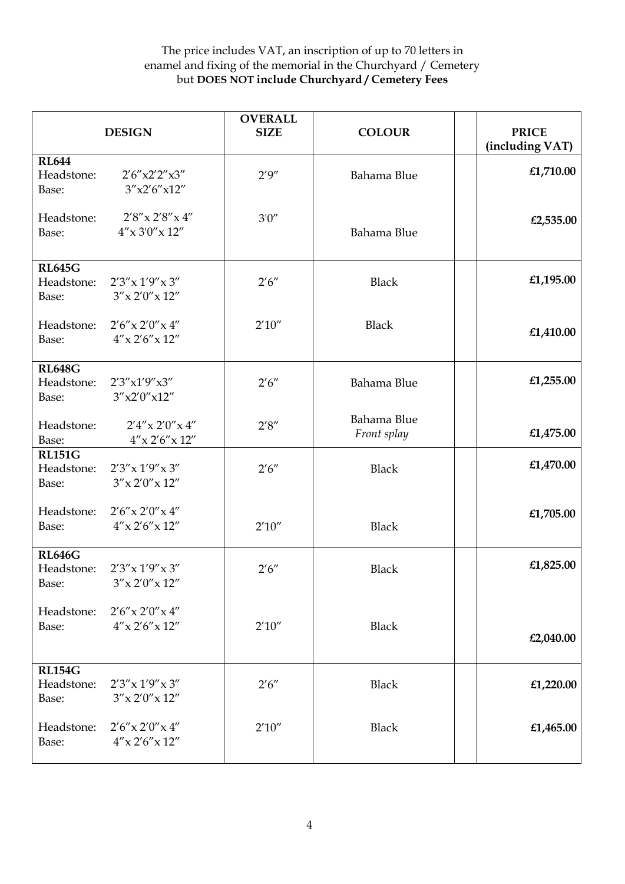|                                      | <b>DESIGN</b>                                   | <b>OVERALL</b><br><b>SIZE</b> | <b>COLOUR</b>              | <b>PRICE</b><br>(including VAT) |
|--------------------------------------|-------------------------------------------------|-------------------------------|----------------------------|---------------------------------|
| <b>RL644</b><br>Headstone:<br>Base:  | 2'6''x2'2''x3''<br>3''x2'6''x12''               | 2'9''                         | Bahama Blue                | £1,710.00                       |
| Headstone:<br>Base:                  | $2'8''$ x $2'8''$ x $4''$<br>$4''$ x 3'0" x 12" | 3'0''                         | Bahama Blue                | £2,535.00                       |
| <b>RL645G</b><br>Headstone:<br>Base: | $2'3''$ x $1'9''$ x $3''$<br>$3''$ x 2'0" x 12" | 2'6''                         | <b>Black</b>               | £1,195.00                       |
| Headstone:<br>Base:                  | $2'6''$ x $2'0''$ x $4''$<br>$4''$ x 2'6" x 12" | 2'10''                        | <b>Black</b>               | £1,410.00                       |
| <b>RL648G</b><br>Headstone:<br>Base: | 2'3''x1'9''x3''<br>3''x2'0''x12''               | 2'6''                         | Bahama Blue                | £1,255.00                       |
| Headstone:<br>Base:                  | $2'4''$ x $2'0''$ x $4''$<br>$4''$ x 2'6" x 12" | 2'8''                         | Bahama Blue<br>Front splay | £1,475.00                       |
| <b>RL151G</b><br>Headstone:<br>Base: | $2'3''$ x $1'9''$ x 3"<br>$3''$ x 2'0" x 12"    | 2'6''                         | <b>Black</b>               | £1,470.00                       |
| Headstone:<br>Base:                  | $2'6''$ x $2'0''$ x $4''$<br>$4''$ x 2'6" x 12" | 2'10''                        | <b>Black</b>               | £1,705.00                       |
| <b>RL646G</b><br>Headstone:<br>Base: | $2'3''x\,1'9''x\,3''$<br>$3''$ x 2'0" x 12"     | 2'6''                         | <b>Black</b>               | £1,825.00                       |
| Headstone:<br>Base:                  | $2'6''$ x $2'0''$ x $4''$<br>$4''$ x 2'6" x 12" | 2'10''                        | <b>Black</b>               | £2,040.00                       |
| <b>RL154G</b><br>Headstone:<br>Base: | $2'3''$ x $1'9''$ x $3''$<br>$3''$ x 2'0" x 12" | 2'6''                         | <b>Black</b>               | £1,220.00                       |
| Headstone:<br>Base:                  | $2'6''$ x $2'0''$ x $4''$<br>$4''$ x 2'6" x 12" | 2'10''                        | <b>Black</b>               | £1,465.00                       |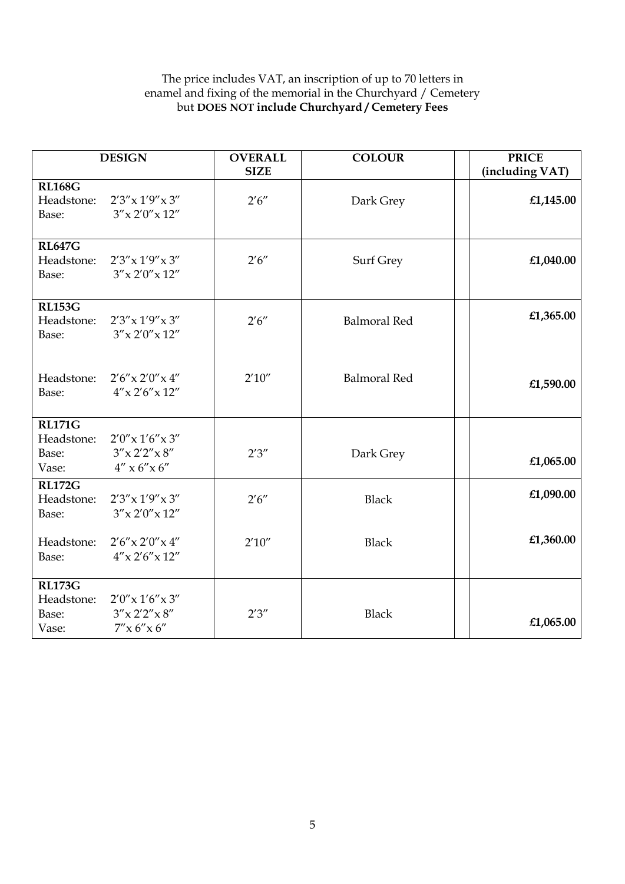|                                               | <b>DESIGN</b>                                                                                                  | <b>OVERALL</b><br><b>SIZE</b> | <b>COLOUR</b>       | <b>PRICE</b><br>(including VAT) |
|-----------------------------------------------|----------------------------------------------------------------------------------------------------------------|-------------------------------|---------------------|---------------------------------|
| <b>RL168G</b><br>Headstone:<br>Base:          | 2'3''x 1'9''x 3''<br>$3''$ x 2'0" x 12"                                                                        | 2'6''                         | Dark Grey           | £1,145.00                       |
| <b>RL647G</b><br>Headstone:<br>Base:          | $2'3''$ x $1'9''$ x $3''$<br>$3''$ x 2'0" x 12"                                                                | 2'6''                         | Surf Grey           | £1,040.00                       |
| <b>RL153G</b><br>Headstone:<br>Base:          | $2'3''$ x $1'9''$ x $3''$<br>$3''$ x 2'0" x 12"                                                                | 2'6''                         | <b>Balmoral Red</b> | £1,365.00                       |
| Headstone:<br>Base:                           | $2'6''$ x $2'0''$ x $4''$<br>$4''$ x 2'6" x 12"                                                                | 2'10''                        | <b>Balmoral Red</b> | £1,590.00                       |
| <b>RL171G</b><br>Headstone:<br>Base:<br>Vase: | $2'0''$ x 1'6" x 3"<br>$3''$ x 2'2" x 8"<br>$4'' \times 6'' \times 6''$                                        | 2'3''                         | Dark Grey           | £1,065.00                       |
| <b>RL172G</b><br>Headstone:<br>Base:          | $2'3''$ x $1'9''$ x $3''$<br>$3''$ x 2'0" x 12"                                                                | 2'6''                         | <b>Black</b>        | £1,090.00                       |
| Headstone:<br>Base:                           | $2'6''$ x $2'0''$ x $4''$<br>$4''$ x 2'6" x 12"                                                                | 2'10''                        | <b>Black</b>        | £1,360.00                       |
| <b>RL173G</b><br>Headstone:<br>Base:<br>Vase: | $2'0''$ x 1'6" x 3"<br>$3''$ x 2'2" x 8"<br>$7^{\prime\prime} \times 6^{\prime\prime} \times 6^{\prime\prime}$ | 2'3''                         | <b>Black</b>        | £1,065.00                       |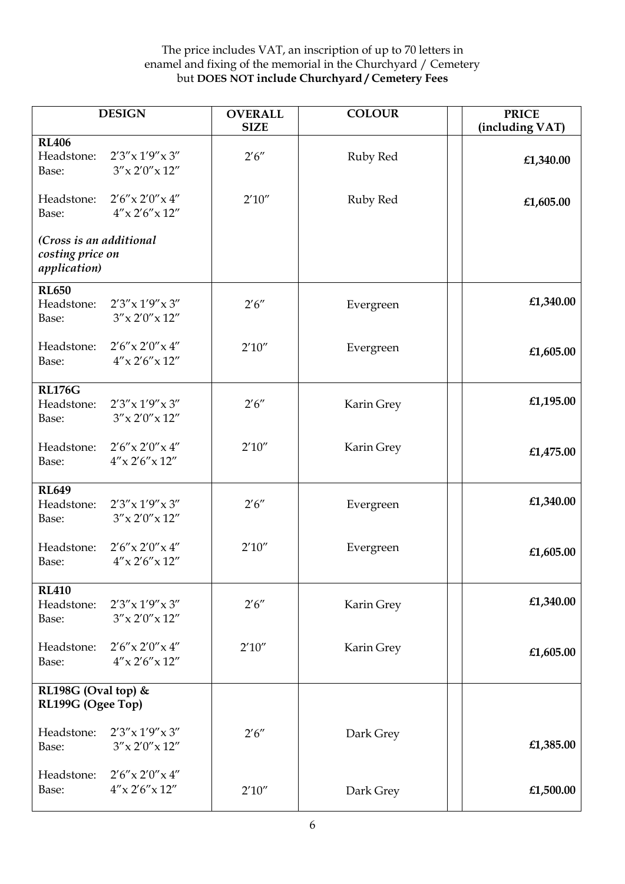|                                                                     | <b>DESIGN</b>                                   | <b>OVERALL</b><br><b>SIZE</b> | <b>COLOUR</b> | <b>PRICE</b><br>(including VAT) |
|---------------------------------------------------------------------|-------------------------------------------------|-------------------------------|---------------|---------------------------------|
| <b>RL406</b><br>Headstone:<br>Base:                                 | $2'3''$ x $1'9''$ x $3''$<br>$3''$ x 2'0" x 12" | 2'6''                         | Ruby Red      | £1,340.00                       |
| Headstone:<br>Base:                                                 | $2'6''$ x $2'0''$ x $4''$<br>$4''$ x 2'6" x 12" | 2'10''                        | Ruby Red      | £1,605.00                       |
| (Cross is an additional<br>costing price on<br><i>application</i> ) |                                                 |                               |               |                                 |
| <b>RL650</b><br>Headstone:<br>Base:                                 | $2'3''$ x $1'9''$ x $3''$<br>$3''$ x 2'0" x 12" | 2'6''                         | Evergreen     | £1,340.00                       |
| Headstone:<br>Base:                                                 | $2'6''$ x $2'0''$ x $4''$<br>$4''$ x 2'6" x 12" | 2'10''                        | Evergreen     | £1,605.00                       |
| <b>RL176G</b><br>Headstone:<br>Base:                                | $2'3''$ x $1'9''$ x $3''$<br>$3''$ x 2'0" x 12" | 2'6''                         | Karin Grey    | £1,195.00                       |
| Headstone:<br>Base:                                                 | $2'6''$ x $2'0''$ x $4''$<br>$4''$ x 2'6" x 12" | 2'10''                        | Karin Grey    | £1,475.00                       |
| <b>RL649</b><br>Headstone:<br>Base:                                 | $2'3''$ x $1'9''$ x $3''$<br>$3''$ x 2'0" x 12" | 2'6''                         | Evergreen     | £1,340.00                       |
| Headstone:<br>Base:                                                 | $2'6''$ x $2'0''$ x $4''$<br>$4''$ x 2'6" x 12" | 2'10''                        | Evergreen     | £1,605.00                       |
| <b>RL410</b><br>Headstone:<br>Base:                                 | $2'3''$ x $1'9''$ x $3''$<br>$3''$ x 2'0" x 12" | 2'6''                         | Karin Grey    | £1,340.00                       |
| Headstone:<br>Base:                                                 | $2'6''$ x $2'0''$ x $4''$<br>$4''$ x 2'6" x 12" | 2'10''                        | Karin Grey    | £1,605.00                       |
| RL198G (Oval top) &<br>RL199G (Ogee Top)                            |                                                 |                               |               |                                 |
| Headstone:<br>Base:                                                 | $2'3''$ x $1'9''$ x $3''$<br>$3''$ x 2'0" x 12" | 2'6''                         | Dark Grey     | £1,385.00                       |
| Headstone:<br>Base:                                                 | $2'6''$ x $2'0''$ x $4''$<br>$4''$ x 2'6" x 12" | 2'10''                        | Dark Grey     | £1,500.00                       |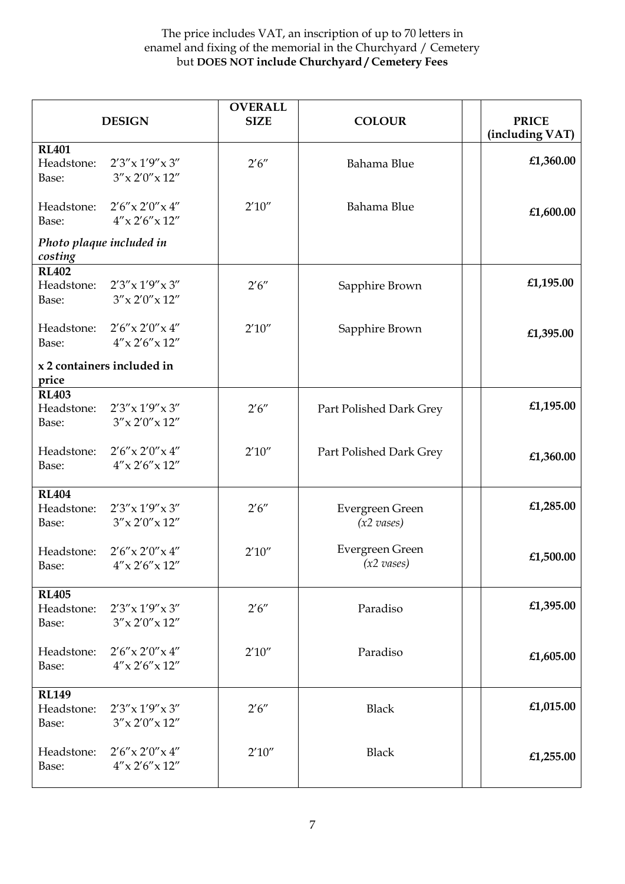|                                     | <b>DESIGN</b>                                   | <b>OVERALL</b><br><b>SIZE</b> | <b>COLOUR</b>                           | <b>PRICE</b><br>(including VAT) |
|-------------------------------------|-------------------------------------------------|-------------------------------|-----------------------------------------|---------------------------------|
| <b>RL401</b><br>Headstone:<br>Base: | $2'3''$ x $1'9''$ x $3''$<br>$3''$ x 2'0" x 12" | 2'6''                         | Bahama Blue                             | £1,360.00                       |
| Headstone:<br>Base:                 | $2'6''$ x $2'0''$ x $4''$<br>$4''$ x 2'6" x 12" | 2'10''                        | Bahama Blue                             | £1,600.00                       |
| Photo plaque included in<br>costing |                                                 |                               |                                         |                                 |
| <b>RL402</b><br>Headstone:<br>Base: | $2'3''$ x $1'9''$ x $3''$<br>$3''$ x 2'0" x 12" | 2'6''                         | Sapphire Brown                          | £1,195.00                       |
| Headstone:<br>Base:                 | $2'6''$ x $2'0''$ x $4''$<br>$4''$ x 2'6" x 12" | 2'10''                        | Sapphire Brown                          | £1,395.00                       |
| price                               | x 2 containers included in                      |                               |                                         |                                 |
| <b>RL403</b><br>Headstone:<br>Base: | $2'3''$ x $1'9''$ x $3''$<br>$3''$ x 2'0" x 12" | 2'6''                         | Part Polished Dark Grey                 | £1,195.00                       |
| Headstone:<br>Base:                 | $2'6''$ x $2'0''$ x $4''$<br>$4''$ x 2'6" x 12" | 2'10''                        | Part Polished Dark Grey                 | £1,360.00                       |
| <b>RL404</b><br>Headstone:<br>Base: | $2'3''$ x $1'9''$ x $3''$<br>$3''$ x 2'0" x 12" | 2'6''                         | Evergreen Green<br>$(x2 \text{ vases})$ | £1,285.00                       |
| Headstone:<br>Base:                 | $2'6''$ x $2'0''$ x $4''$<br>$4''$ x 2'6" x 12" | 2'10''                        | Evergreen Green<br>$(x2 \text{ vases})$ | £1,500.00                       |
| <b>RL405</b><br>Headstone:<br>Base: | $2'3''$ x $1'9''$ x $3''$<br>$3''$ x 2'0" x 12" | 2'6''                         | Paradiso                                | £1,395.00                       |
| Headstone:<br>Base:                 | $2'6''$ x $2'0''$ x $4''$<br>$4''$ x 2'6" x 12" | 2'10''                        | Paradiso                                | £1,605.00                       |
| <b>RL149</b><br>Headstone:<br>Base: | $2'3''$ x $1'9''$ x $3''$<br>$3''$ x 2'0" x 12" | 2'6''                         | <b>Black</b>                            | £1,015.00                       |
| Headstone:<br>Base:                 | $2'6''$ x $2'0''$ x $4''$<br>$4''$ x 2'6" x 12" | 2'10''                        | <b>Black</b>                            | £1,255.00                       |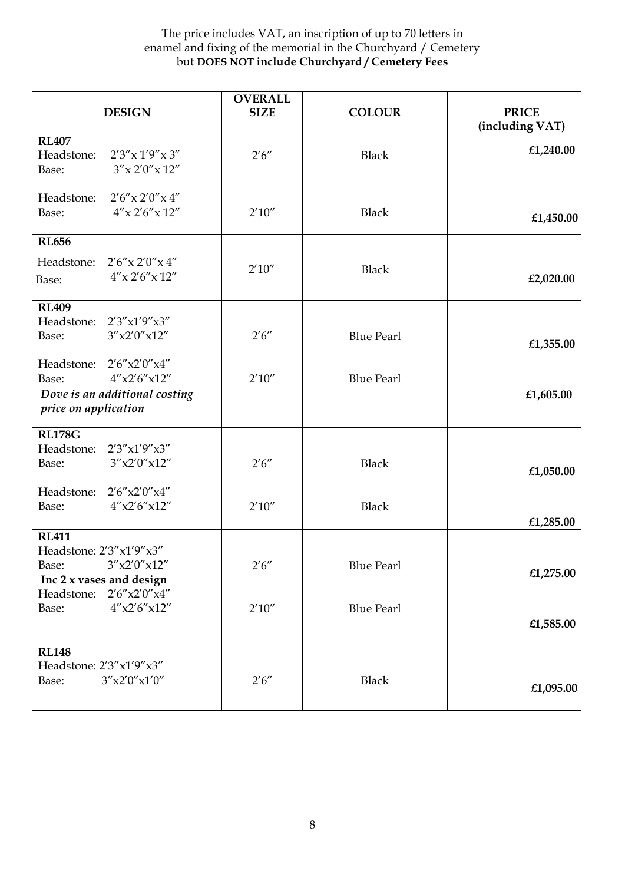| <b>DESIGN</b>                                                                                               | <b>OVERALL</b><br><b>SIZE</b> | <b>COLOUR</b>     | <b>PRICE</b><br>(including VAT) |
|-------------------------------------------------------------------------------------------------------------|-------------------------------|-------------------|---------------------------------|
| <b>RL407</b><br>$2'3''$ x $1'9''$ x $3''$<br>Headstone:<br>$3''$ x 2'0" x 12"<br>Base:                      | 2'6''                         | <b>Black</b>      | £1,240.00                       |
| $2'6''$ x $2'0''$ x $4''$<br>Headstone:<br>Base:<br>$4''$ x 2'6" x 12"                                      | 2'10''                        | <b>Black</b>      | £1,450.00                       |
| <b>RL656</b><br>Headstone: $2'6'' \times 2'0'' \times 4''$<br>$4''$ x 2'6" x 12"<br>Base:                   | 2'10''                        | <b>Black</b>      | £2,020.00                       |
| <b>RL409</b><br>Headstone: 2'3"x1'9"x3"<br>3''x2'0''x12''<br>Base:                                          | 2'6''                         | <b>Blue Pearl</b> | £1,355.00                       |
| Headstone: 2'6"x2'0"x4"<br>4''x2'6''x12''<br>Base:<br>Dove is an additional costing<br>price on application | 2'10''                        | <b>Blue Pearl</b> | £1,605.00                       |
| <b>RL178G</b><br>Headstone: 2'3"x1'9"x3"<br>3''x2'0''x12''<br>Base:                                         | 2'6''                         | <b>Black</b>      | £1,050.00                       |
| Headstone: 2'6"x2'0"x4"<br>$4''$ x2'6"x12"<br>Base:                                                         | 2'10''                        | <b>Black</b>      | £1,285.00                       |
| <b>RL411</b><br>Headstone: 2'3"x1'9"x3"<br>3''x2'0''x12''<br>Base:<br>Inc 2 x vases and design              | 2'6''                         | <b>Blue Pearl</b> | £1,275.00                       |
| 2'6''x2'0''x4''<br>Headstone:<br>$4''$ x2'6"x12"<br>Base:                                                   | 2'10''                        | <b>Blue Pearl</b> | £1,585.00                       |
| <b>RL148</b><br>Headstone: 2'3"x1'9"x3"<br>3''x2'0''x1'0''<br>Base:                                         | 2'6''                         | <b>Black</b>      | £1,095.00                       |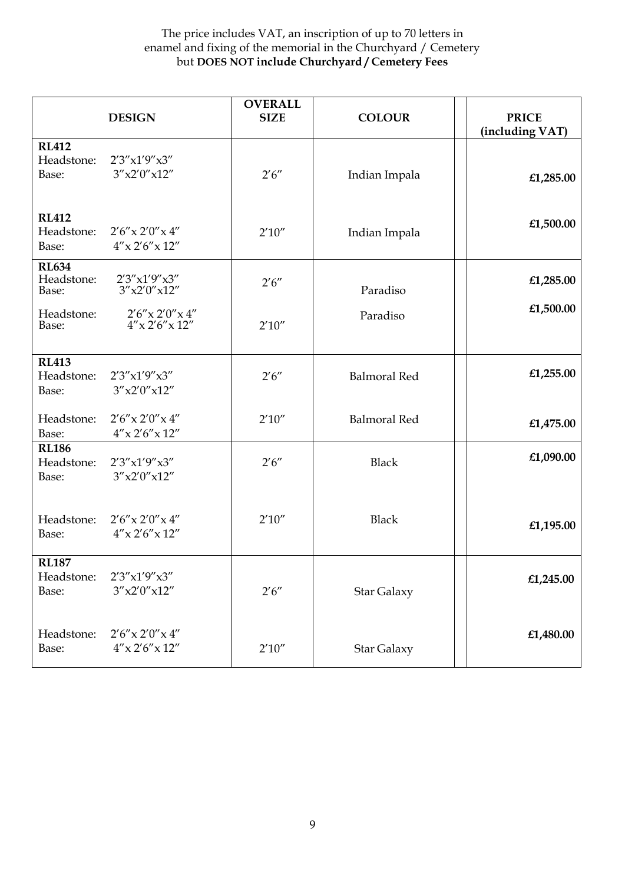|                                     | <b>DESIGN</b>                                   | <b>OVERALL</b><br><b>SIZE</b> | <b>COLOUR</b>       | <b>PRICE</b><br>(including VAT) |
|-------------------------------------|-------------------------------------------------|-------------------------------|---------------------|---------------------------------|
| <b>RL412</b><br>Headstone:<br>Base: | 2'3''x1'9''x3''<br>3''x2'0''x12''               | 2'6''                         | Indian Impala       | £1,285.00                       |
| <b>RL412</b><br>Headstone:<br>Base: | $2'6''$ x $2'0''$ x $4''$<br>$4''$ x 2'6" x 12" | 2'10''                        | Indian Impala       | £1,500.00                       |
| <b>RL634</b><br>Headstone:<br>Base: | 2'3''x1'9''x3''<br>3''x2'0''x12''               | 2'6''                         | Paradiso            | £1,285.00                       |
| Headstone:<br>Base:                 | $2'6''$ x $2'0''$ x $4''$<br>$4''$ x 2'6" x 12" | 2'10''                        | Paradiso            | £1,500.00                       |
| <b>RL413</b><br>Headstone:<br>Base: | 2'3''x1'9''x3''<br>3''x2'0''x12''               | 2'6''                         | <b>Balmoral Red</b> | £1,255.00                       |
| Headstone:<br>Base:                 | $2'6''$ x $2'0''$ x $4''$<br>$4''$ x 2'6" x 12" | 2'10''                        | <b>Balmoral Red</b> | £1,475.00                       |
| <b>RL186</b><br>Headstone:<br>Base: | 2'3''x1'9''x3''<br>3''x2'0''x12''               | 2'6''                         | <b>Black</b>        | £1,090.00                       |
| Headstone:<br>Base:                 | $2'6''$ x $2'0''$ x $4''$<br>$4''$ x 2'6" x 12" | 2'10''                        | <b>Black</b>        | £1,195.00                       |
| <b>RL187</b><br>Headstone:<br>Base: | 2'3''x1'9''x3''<br>3''x2'0''x12''               | 2'6''                         | Star Galaxy         | £1,245.00                       |
| Headstone:<br>Base:                 | $2'6''$ x $2'0''$ x $4''$<br>$4''$ x 2'6" x 12" | 2'10''                        | <b>Star Galaxy</b>  | £1,480.00                       |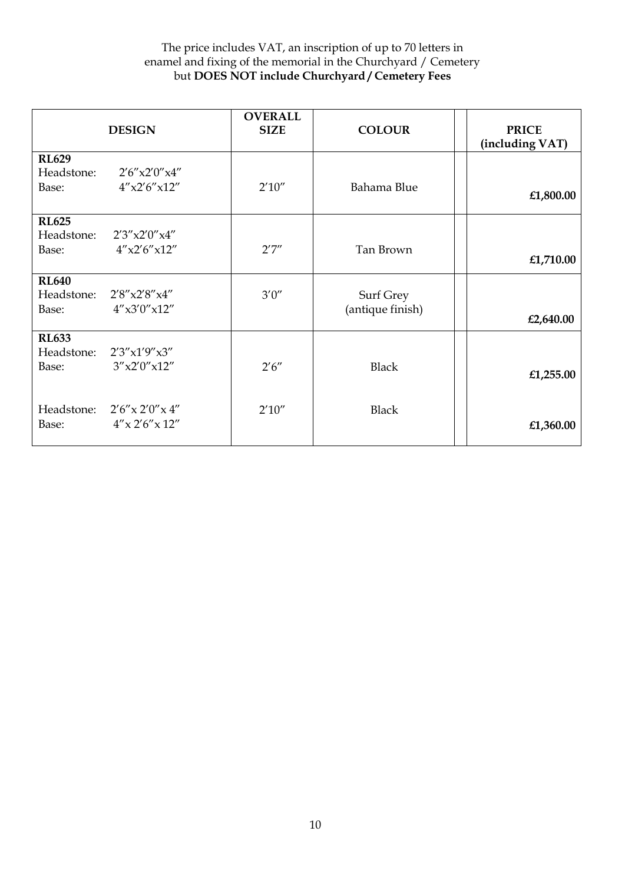|                                     | <b>DESIGN</b>                                                    | <b>OVERALL</b><br><b>SIZE</b> | <b>COLOUR</b>                 | <b>PRICE</b><br>(including VAT) |
|-------------------------------------|------------------------------------------------------------------|-------------------------------|-------------------------------|---------------------------------|
| <b>RL629</b><br>Headstone:<br>Base: | 2'6''x2'0''x4''<br>4''x2'6''x12''                                | 2'10''                        | Bahama Blue                   | £1,800.00                       |
| <b>RL625</b><br>Headstone:<br>Base: | 2'3''x2'0''x4''<br>$4''$ x2'6"x12"                               | 2'7''                         | Tan Brown                     | £1,710.00                       |
| <b>RL640</b><br>Headstone:<br>Base: | 2'8''x2'8''x4''<br>4''x3'0''x12''                                | 3'0''                         | Surf Grey<br>(antique finish) | £2,640.00                       |
| <b>RL633</b><br>Headstone:<br>Base: | 2'3''x1'9''x3''<br>3''x2'0''x12''                                | 2'6''                         | <b>Black</b>                  | £1,255.00                       |
| Base:                               | Headstone: $2'6'' \times 2'0'' \times 4''$<br>$4''$ x 2'6" x 12" | 2'10''                        | <b>Black</b>                  | £1,360.00                       |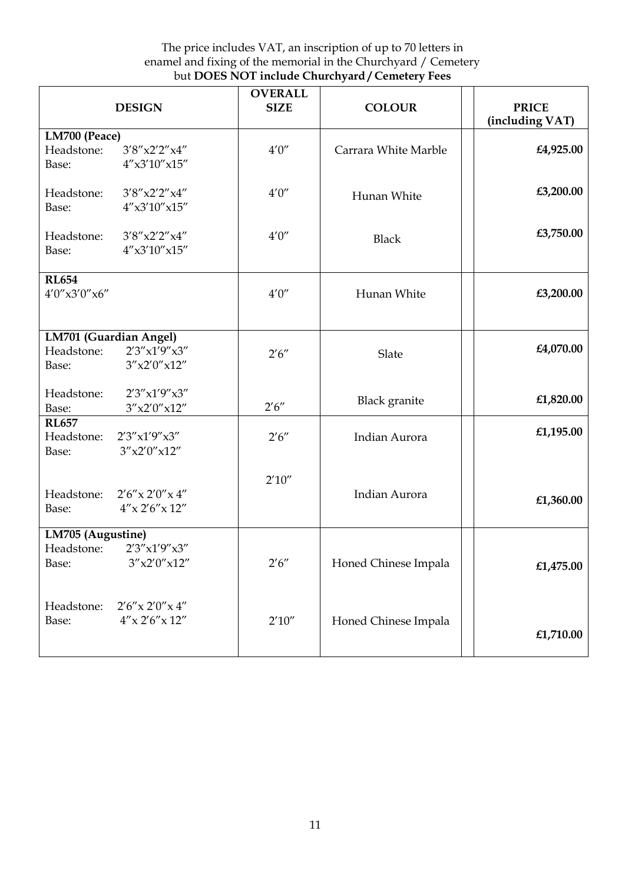| <b>DESIGN</b>                                                                      | <b>OVERALL</b><br><b>SIZE</b> | <b>COLOUR</b>        | <b>PRICE</b><br>(including VAT) |
|------------------------------------------------------------------------------------|-------------------------------|----------------------|---------------------------------|
| LM700 (Peace)<br>3'8''x2'2''x4''<br>Headstone:<br>$4''$ x3'10"x15"<br>Base:        | 4'0''                         | Carrara White Marble | £4,925.00                       |
| 3'8''x2'2''x4''<br>Headstone:<br>$4''$ x3'10"x15"<br>Base:                         | 4'0''                         | Hunan White          | £3,200.00                       |
| 3'8''x2'2''x4''<br>Headstone:<br>$4''$ x3'10" x15"<br>Base:                        | 4'0''                         | <b>Black</b>         | £3,750.00                       |
| <b>RL654</b><br>4'0''x3'0''x6''                                                    | 4'0''                         | Hunan White          | £3,200.00                       |
| LM701 (Guardian Angel)<br>2'3''x1'9''x3''<br>Headstone:<br>3''x2'0''x12''<br>Base: | 2'6''                         | Slate                | £4,070.00                       |
| 2'3''x1'9''x3''<br>Headstone:<br>3''x2'0''x12''<br>Base:                           | 2'6''                         | <b>Black</b> granite | £1,820.00                       |
| <b>RL657</b><br>Headstone:<br>2'3''x1'9''x3''<br>3''x2'0''x12''<br>Base:           | 2'6''                         | Indian Aurora        | £1,195.00                       |
| Headstone:<br>$2'6''$ x $2'0''$ x $4''$<br>$4''$ x 2'6" x 12"<br>Base:             | 2'10''                        | <b>Indian Aurora</b> | £1,360.00                       |
| LM705 (Augustine)<br>2'3''x1'9''x3''<br>Headstone:<br>Base:<br>3''x2'0''x12''      | 2'6''                         | Honed Chinese Impala | £1,475.00                       |
| Headstone:<br>$2'6''$ x $2'0''$ x $4''$<br>$4''$ x 2'6" x 12"<br>Base:             | 2'10''                        | Honed Chinese Impala | £1,710.00                       |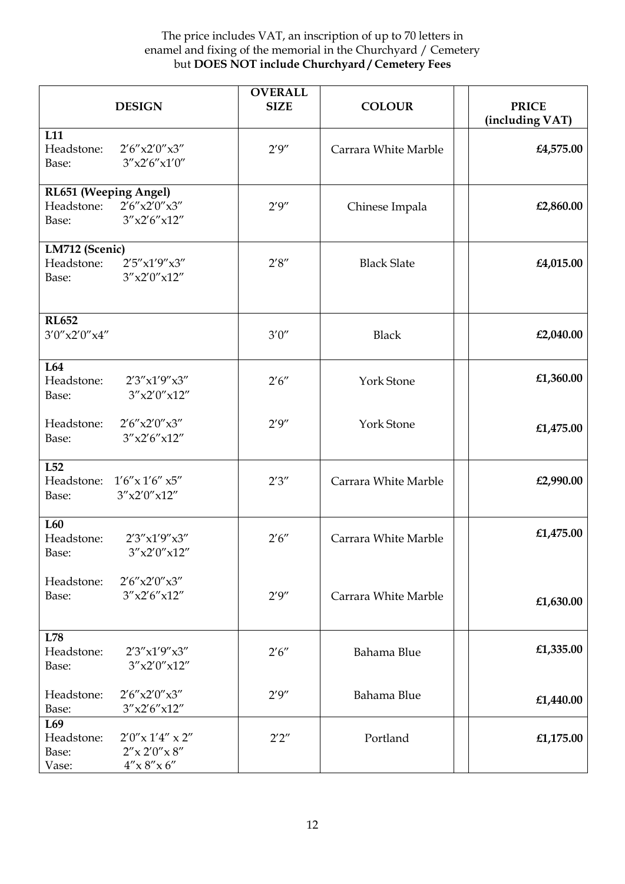| <b>DESIGN</b>                                                                                                    | <b>OVERALL</b><br><b>SIZE</b> | <b>COLOUR</b>        | <b>PRICE</b><br>(including VAT) |
|------------------------------------------------------------------------------------------------------------------|-------------------------------|----------------------|---------------------------------|
| L11<br>2'6''x2'0''x3''<br>Headstone:<br>3''x2'6''x1'0''<br>Base:                                                 | 2'9''                         | Carrara White Marble | £4,575.00                       |
| RL651 (Weeping Angel)<br>2'6''x2'0''x3''<br>Headstone:<br>3''x2'6''x12''<br>Base:                                | 2'9''                         | Chinese Impala       | £2,860.00                       |
| LM712 (Scenic)<br>Headstone:<br>2'5''x1'9''x3''<br>3''x2'0''x12''<br>Base:                                       | 2'8''                         | <b>Black Slate</b>   | £4,015.00                       |
| <b>RL652</b><br>3'0''x2'0''x4''                                                                                  | 3'0''                         | <b>Black</b>         | £2,040.00                       |
| L64<br>Headstone:<br>2'3''x1'9''x3''<br>3''x2'0''x12''<br>Base:                                                  | 2'6''                         | York Stone           | £1,360.00                       |
| Headstone:<br>2'6''x2'0''x3''<br>3''x2'6''x12''<br>Base:                                                         | 2'9''                         | York Stone           | £1,475.00                       |
| L52<br>Headstone:<br>$1'6''$ x $1'6''$ x5"<br>3''x2'0''x12''<br>Base:                                            | 2'3''                         | Carrara White Marble | £2,990.00                       |
| L60<br>Headstone:<br>2'3''x1'9''x3''<br>3''x2'0''x12''<br>Base:                                                  | 2'6''                         | Carrara White Marble | £1,475.00                       |
| Headstone:<br>2'6''x2'0''x3''<br>3''x2'6''x12''<br>Base:                                                         | 2'9''                         | Carrara White Marble | £1,630.00                       |
| L78<br>Headstone:<br>2'3''x1'9''x3''<br>3''x2'0''x12''<br>Base:                                                  | 2'6''                         | Bahama Blue          | £1,335.00                       |
| 2'6''x2'0''x3''<br>Headstone:<br>3''x2'6''x12''<br>Base:                                                         | 2'9''                         | Bahama Blue          | £1,440.00                       |
| L <sub>69</sub><br>Headstone:<br>$2'0''$ x $1'4''$ x $2''$<br>$2''$ x 2'0" x 8"<br>Base:<br>4''x8''x6''<br>Vase: | 2'2''                         | Portland             | £1,175.00                       |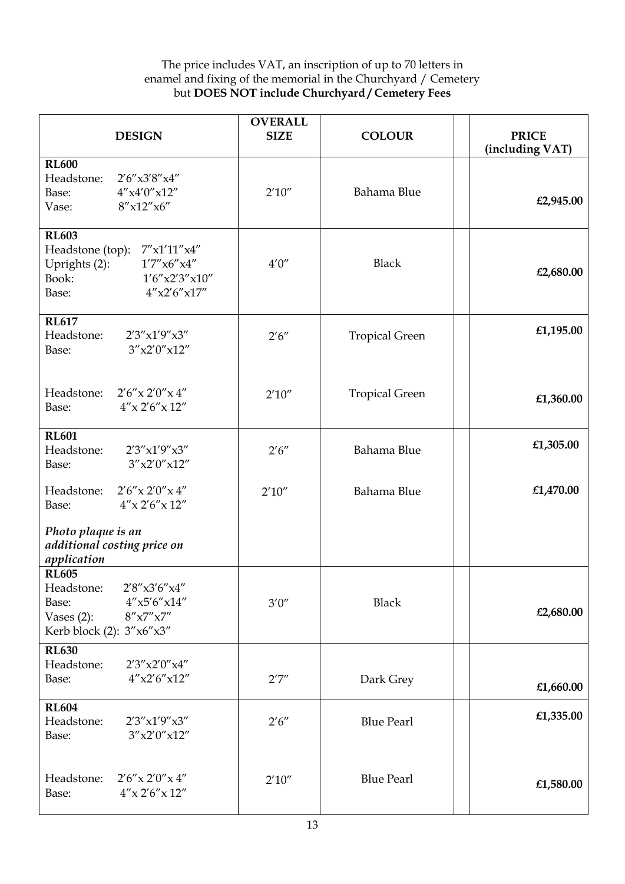| <b>DESIGN</b>                                                                                                                                 | <b>OVERALL</b><br><b>SIZE</b> | <b>COLOUR</b>         | <b>PRICE</b><br>(including VAT) |
|-----------------------------------------------------------------------------------------------------------------------------------------------|-------------------------------|-----------------------|---------------------------------|
| <b>RL600</b><br>Headstone:<br>2'6''x3'8''x4''<br>4''x4'0''x12''<br>Base:<br>$8''$ x12"x6"<br>Vase:                                            | 2'10''                        | Bahama Blue           | £2,945.00                       |
| <b>RL603</b><br>$7''$ x1'11"x4"<br>Headstone (top):<br>1'7''x6''x4''<br>Uprights (2):<br>Book:<br>1'6''x2'3''x10''<br>4''x2'6''x17''<br>Base: | $4'0''$                       | <b>Black</b>          | £2,680.00                       |
| <b>RL617</b><br>Headstone:<br>2'3''x1'9''x3''<br>3''x2'0''x12''<br>Base:                                                                      | 2'6''                         | <b>Tropical Green</b> | £1,195.00                       |
| Headstone:<br>$2'6''$ x $2'0''$ x $4''$<br>$4''$ x 2'6" x 12"<br>Base:                                                                        | 2'10''                        | <b>Tropical Green</b> | £1,360.00                       |
| <b>RL601</b><br>Headstone:<br>2'3''x1'9''x3''<br>3''x2'0''x12''<br>Base:                                                                      | 2'6''                         | Bahama Blue           | £1,305.00                       |
| Headstone:<br>$2'6''$ x $2'0''$ x $4''$<br>$4''$ x 2'6" x 12"<br>Base:                                                                        | 2'10''                        | Bahama Blue           | £1,470.00                       |
| Photo plaque is an<br>additional costing price on<br>application                                                                              |                               |                       |                                 |
| <b>RL605</b><br>Headstone:<br>2'8"x3'6"x4"<br>4''x5'6''x14''<br>Base:<br>8''x7''x7''<br>Vases $(2)$ :<br>Kerb block (2): 3"x6"x3"             | $3'0''$                       | <b>Black</b>          | £2,680.00                       |
| <b>RL630</b><br>2'3''x2'0''x4''<br>Headstone:<br>$4''$ x2'6"x12"<br>Base:                                                                     | 2'7''                         | Dark Grey             | £1,660.00                       |
| <b>RL604</b><br>Headstone:<br>2'3''x1'9''x3''<br>3''x2'0''x12''<br>Base:                                                                      | 2'6''                         | <b>Blue Pearl</b>     | £1,335.00                       |
| $2'6''$ x $2'0''$ x $4''$<br>Headstone:<br>$4''$ x 2'6" x 12"<br>Base:                                                                        | 2'10''                        | <b>Blue Pearl</b>     | £1,580.00                       |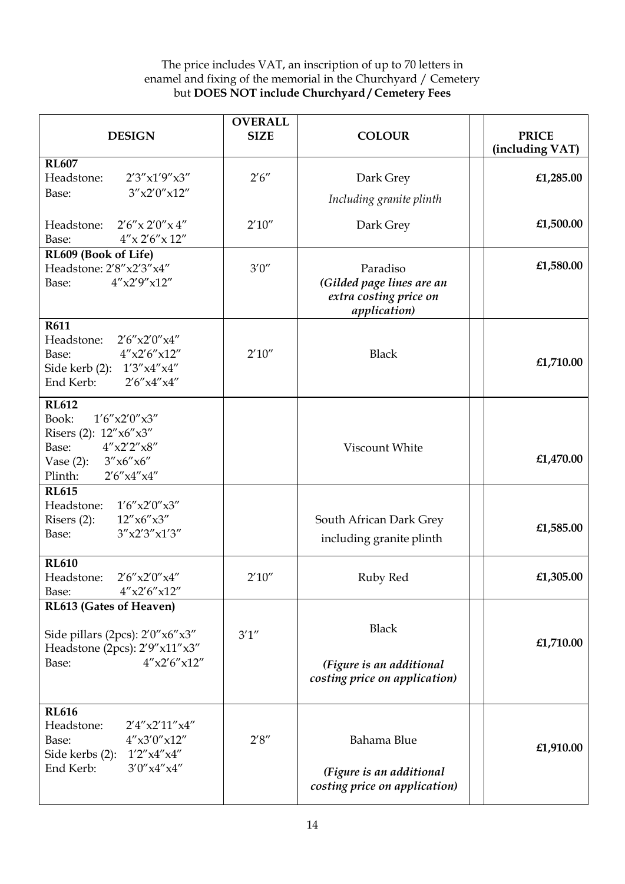| <b>DESIGN</b>                                                                                                                                                  | <b>OVERALL</b><br><b>SIZE</b> | <b>COLOUR</b>                                                                           | <b>PRICE</b><br>(including VAT) |
|----------------------------------------------------------------------------------------------------------------------------------------------------------------|-------------------------------|-----------------------------------------------------------------------------------------|---------------------------------|
| <b>RL607</b><br>2'3''x1'9''x3''<br>Headstone:<br>3''x2'0''x12''<br>Base:                                                                                       | 2'6''                         | Dark Grey<br>Including granite plinth                                                   | £1,285.00                       |
| Headstone:<br>$2'6''$ x $2'0''$ x $4''$<br>$4''$ x 2'6" x 12"<br>Base:                                                                                         | 2'10''                        | Dark Grey                                                                               | £1,500.00                       |
| RL609 (Book of Life)<br>Headstone: 2'8"x2'3"x4"<br>4''x2'9''x12''<br>Base:                                                                                     | 3'0''                         | Paradiso<br>(Gilded page lines are an<br>extra costing price on<br><i>application</i> ) | £1,580.00                       |
| <b>R611</b><br>Headstone:<br>2'6''x2'0''x4''<br>4''x2'6''x12''<br>Base:<br>Side kerb (2): 1'3"x4"x4"<br>End Kerb:<br>2'6''x4''x4''                             | 2'10''                        | <b>Black</b>                                                                            | £1,710.00                       |
| <b>RL612</b><br>Book:<br>$1'6''$ x2'0" x3"<br>Risers (2): 12"x6"x3"<br>4''x2'2''x8''<br>Base:<br>Vase $(2)$ :<br>3''x6''x6''<br>Plinth:<br>2'6''x4''x4''       |                               | Viscount White                                                                          | £1,470.00                       |
| <b>RL615</b><br>1'6''x2'0''x3''<br>Headstone:<br>12''x6''x3''<br>Risers $(2)$ :<br>3''x2'3''x1'3''<br>Base:                                                    |                               | South African Dark Grey<br>including granite plinth                                     | £1,585.00                       |
| <b>RL610</b><br>Headstone:<br>2'6''x2'0''x4''<br>4''x2'6''x12''<br>Base:                                                                                       | 2'10''                        | Ruby Red                                                                                | £1,305.00                       |
| RL613 (Gates of Heaven)<br>Side pillars (2pcs): 2'0"x6"x3"<br>Headstone (2pcs): 2'9"x11"x3"<br>4''x2'6''x12''<br>Base:                                         | 3'1''                         | <b>Black</b><br>(Figure is an additional<br>costing price on application)               | £1,710.00                       |
| <b>RL616</b><br>$2'4''$ $\times$ $2'11''$ $\times$ $4''$<br>Headstone:<br>$4''$ x3'0"x12"<br>Base:<br>Side kerbs (2): 1'2"x4"x4"<br>End Kerb:<br>3'0''x4''x4'' | 2'8''                         | Bahama Blue<br>(Figure is an additional<br>costing price on application)                | £1,910.00                       |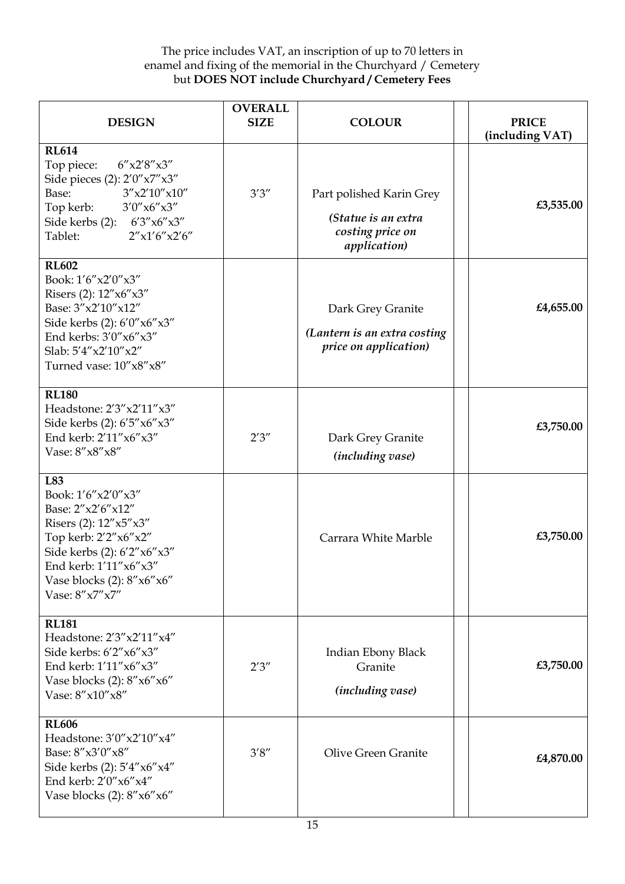| <b>DESIGN</b>                                                                                                                                                                                              | <b>OVERALL</b><br><b>SIZE</b> | <b>COLOUR</b>                                                                               | <b>PRICE</b><br>(including VAT) |
|------------------------------------------------------------------------------------------------------------------------------------------------------------------------------------------------------------|-------------------------------|---------------------------------------------------------------------------------------------|---------------------------------|
| <b>RL614</b><br>6''x2'8''x3''<br>Top piece:<br>Side pieces (2): 2'0"x7"x3"<br>Base:<br>3''x2'10''x10''<br>Top kerb: $3'0''x6''x3''$<br>Side kerbs (2): 6'3"x6"x3"<br>2''x1'6''x2'6''<br>Tablet:            | 3'3''                         | Part polished Karin Grey<br>(Statue is an extra<br>costing price on<br><i>application</i> ) | £3,535.00                       |
| <b>RL602</b><br>Book: 1'6"x2'0"x3"<br>Risers (2): 12"x6"x3"<br>Base: $3''x2'10''x12''$<br>Side kerbs (2): 6'0" x6" x3"<br>End kerbs: 3'0"x6"x3"<br>Slab: 5'4"x2'10"x2"<br>Turned vase: $10''x8''x8''$      |                               | Dark Grey Granite<br>(Lantern is an extra costing<br>price on application)                  | £4,655.00                       |
| <b>RL180</b><br>Headstone: 2'3" x2'11" x3"<br>Side kerbs (2): 6'5"x6"x3"<br>End kerb: 2'11"x6"x3"<br>Vase: 8"x8"x8"                                                                                        | 2'3''                         | Dark Grey Granite<br><i>(including vase)</i>                                                | £3,750.00                       |
| L83<br>Book: 1'6"x2'0"x3"<br>Base: 2"x2'6"x12"<br>Risers (2): $12''x5''x3''$<br>Top kerb: 2'2"x6"x2"<br>Side kerbs (2): 6'2"x6"x3"<br>End kerb: 1'11"x6"x3"<br>Vase blocks (2): 8"x6"x6"<br>Vase: 8"x7"x7" |                               | Carrara White Marble                                                                        | £3,750.00                       |
| <b>RL181</b><br>Headstone: 2'3" x2'11" x4"<br>Side kerbs: 6'2"x6"x3"<br>End kerb: 1'11"x6"x3"<br>Vase blocks (2): 8"x6"x6"<br>Vase: 8"x10"x8"                                                              | 2'3''                         | Indian Ebony Black<br>Granite<br><i>(including vase)</i>                                    | £3,750.00                       |
| <b>RL606</b><br>Headstone: 3'0" x2'10" x4"<br>Base: 8"x3'0"x8"<br>Side kerbs (2): 5'4"x6"x4"<br>End kerb: 2'0"x6"x4"<br>Vase blocks (2): 8"x6"x6"                                                          | 3'8''                         | <b>Olive Green Granite</b>                                                                  | £4,870.00                       |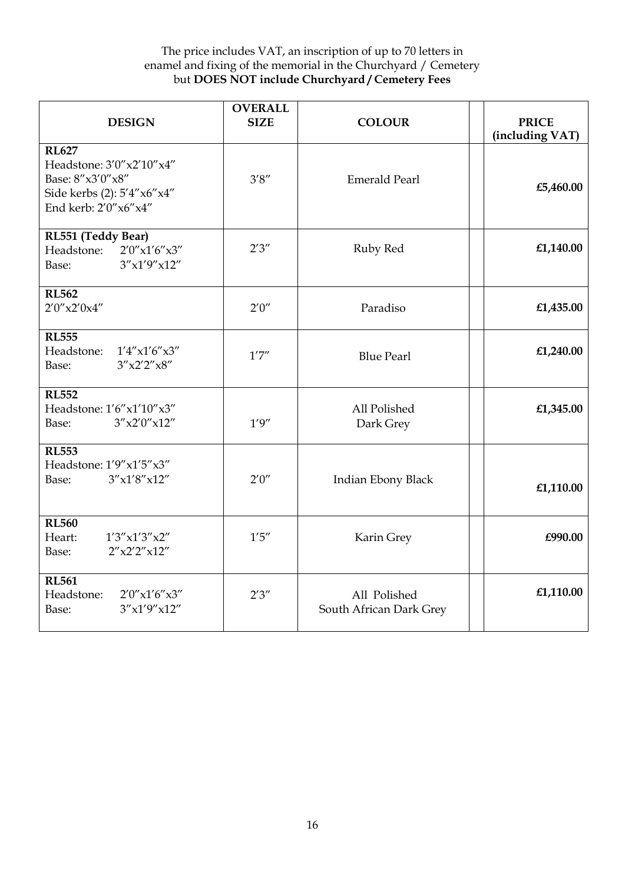| <b>DESIGN</b>                                                                                                        | <b>OVERALL</b><br><b>SIZE</b> | <b>COLOUR</b>                           | <b>PRICE</b><br>(including VAT) |
|----------------------------------------------------------------------------------------------------------------------|-------------------------------|-----------------------------------------|---------------------------------|
| <b>RL627</b><br>Headstone: 3'0" x2'10" x4"<br>Base: 8"x3'0"x8"<br>Side kerbs (2): 5'4"x6"x4"<br>End kerb: 2'0"x6"x4" | 3'8''                         | <b>Emerald Pearl</b>                    | £5,460.00                       |
| RL551 (Teddy Bear)<br>2'0''x1'6''x3''<br>Headstone:<br>3''x1'9''x12''<br>Base:                                       | 2'3''                         | Ruby Red                                | £1,140.00                       |
| <b>RL562</b><br>2'0''x2'0x4''                                                                                        | 2'0''                         | Paradiso                                | £1,435.00                       |
| <b>RL555</b><br>Headstone:<br>$1'4''$ x1'6"x3"<br>3''x2'2''x8''<br>Base:                                             | 1'7''                         | <b>Blue Pearl</b>                       | £1,240.00                       |
| <b>RL552</b><br>Headstone: 1'6"x1'10"x3"<br>3''x2'0''x12''<br>Base:                                                  | 1'9''                         | All Polished<br>Dark Grey               | £1,345.00                       |
| <b>RL553</b><br>Headstone: 1'9"x1'5"x3"<br>3''x1'8''x12''<br>Base:                                                   | 2'0''                         | Indian Ebony Black                      | £1,110.00                       |
| <b>RL560</b><br>Heart:<br>1'3''x1'3''x2''<br>2''x2'2''x12''<br>Base:                                                 | $1'5''$                       | Karin Grey                              | £990.00                         |
| <b>RL561</b><br>Headstone:<br>2'0''x1'6''x3''<br>3''x1'9''x12''<br>Base:                                             | 2'3''                         | All Polished<br>South African Dark Grey | £1,110.00                       |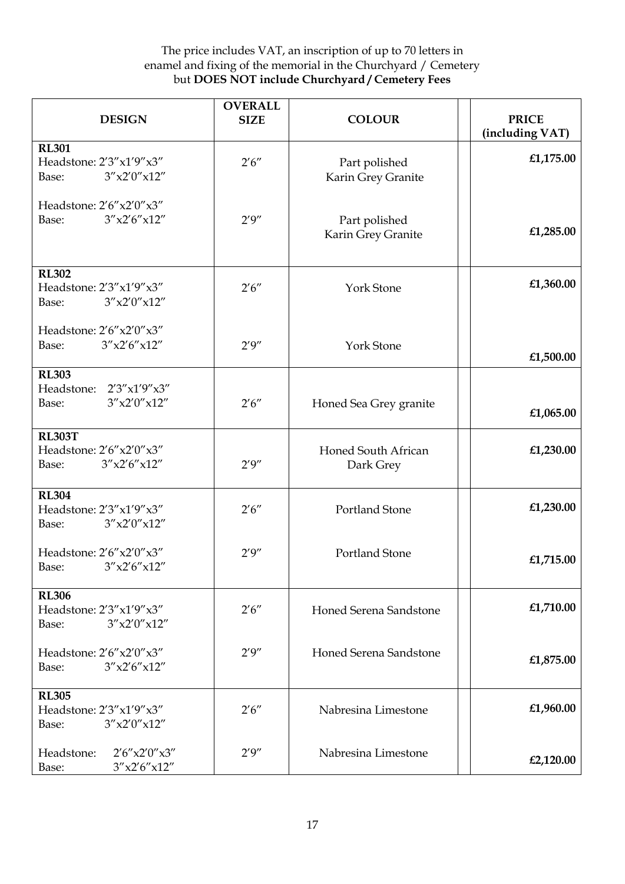| <b>DESIGN</b>                                                            | <b>OVERALL</b><br><b>SIZE</b> | <b>COLOUR</b>                       | <b>PRICE</b><br>(including VAT) |
|--------------------------------------------------------------------------|-------------------------------|-------------------------------------|---------------------------------|
| <b>RL301</b><br>Headstone: 2'3"x1'9"x3"<br>3''x2'0''x12''<br>Base:       | 2'6''                         | Part polished<br>Karin Grey Granite | £1,175.00                       |
| Headstone: 2'6"x2'0"x3"<br>3''x2'6''x12''<br>Base:                       | 2'9''                         | Part polished<br>Karin Grey Granite | £1,285.00                       |
| <b>RL302</b><br>Headstone: 2'3"x1'9"x3"<br>3''x2'0''x12''<br>Base:       | 2'6''                         | York Stone                          | £1,360.00                       |
| Headstone: 2'6"x2'0"x3"<br>3''x2'6''x12''<br>Base:                       | 2'9''                         | <b>York Stone</b>                   | £1,500.00                       |
| <b>RL303</b><br>Headstone:<br>2'3''x1'9''x3''<br>3''x2'0''x12''<br>Base: | 2'6''                         | Honed Sea Grey granite              | £1,065.00                       |
| <b>RL303T</b><br>Headstone: 2'6"x2'0"x3"<br>3''x2'6''x12''<br>Base:      | 2'9''                         | Honed South African<br>Dark Grey    | £1,230.00                       |
| <b>RL304</b><br>Headstone: 2'3"x1'9"x3"<br>3''x2'0''x12''<br>Base:       | 2'6''                         | Portland Stone                      | £1,230.00                       |
| Headstone: 2'6"x2'0"x3"<br>3''x2'6''x12''<br>Base:                       | 2'9''                         | Portland Stone                      | £1,715.00                       |
| <b>RL306</b><br>Headstone: 2'3"x1'9"x3"<br>3''x2'0''x12''<br>Base:       | 2'6''                         | Honed Serena Sandstone              | £1,710.00                       |
| Headstone: 2'6"x2'0"x3"<br>3''x2'6''x12''<br>Base:                       | 2'9''                         | Honed Serena Sandstone              | £1,875.00                       |
| <b>RL305</b><br>Headstone: 2'3"x1'9"x3"<br>3''x2'0''x12''<br>Base:       | 2'6''                         | Nabresina Limestone                 | £1,960.00                       |
| 2'6''x2'0''x3''<br>Headstone:<br>3''x2'6''x12''<br>Base:                 | 2'9''                         | Nabresina Limestone                 | £2,120.00                       |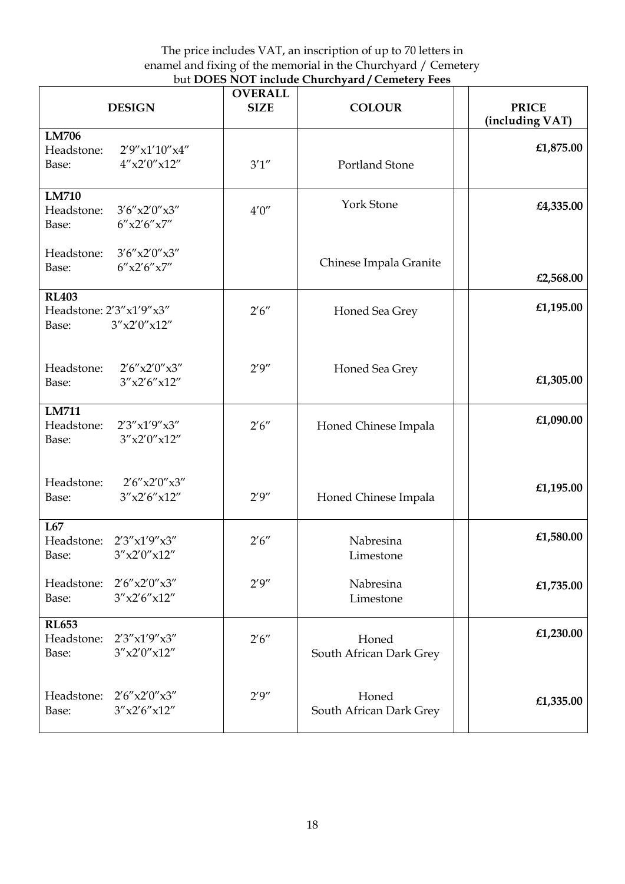| <b>DESIGN</b>                                                              | <b>OVERALL</b><br><b>SIZE</b> | <b>COLOUR</b>                    | <b>PRICE</b><br>(including VAT) |
|----------------------------------------------------------------------------|-------------------------------|----------------------------------|---------------------------------|
| <b>LM706</b><br>Headstone:<br>2'9''x1'10''x4''<br>$4''$ x2'0"x12"<br>Base: | 3'1''                         | <b>Portland Stone</b>            | £1,875.00                       |
| <b>LM710</b><br>3'6''x2'0''x3''<br>Headstone:<br>6''x2'6''x7''<br>Base:    | $4'0''$                       | <b>York Stone</b>                | £4,335.00                       |
| Headstone:<br>3'6''x2'0''x3''<br>6''x2'6''x7''<br>Base:                    |                               | Chinese Impala Granite           | £2,568.00                       |
| <b>RL403</b><br>Headstone: 2'3"x1'9"x3"<br>3''x2'0''x12''<br>Base:         | 2'6''                         | Honed Sea Grey                   | £1,195.00                       |
| Headstone:<br>2'6''x2'0''x3''<br>3''x2'6''x12''<br>Base:                   | 2'9''                         | Honed Sea Grey                   | £1,305.00                       |
| <b>LM711</b><br>Headstone:<br>2'3''x1'9''x3''<br>3''x2'0''x12''<br>Base:   | 2'6''                         | Honed Chinese Impala             | £1,090.00                       |
| Headstone:<br>2'6''x2'0''x3''<br>3''x2'6''x12''<br>Base:                   | 2'9''                         | Honed Chinese Impala             | £1,195.00                       |
| L67<br>Headstone:<br>2'3''x1'9''x3''<br>3''x2'0''x12''<br>Base:            | 2'6''                         | Nabresina<br>Limestone           | £1,580.00                       |
| 2'6''x2'0''x3''<br>Headstone:<br>3''x2'6''x12''<br>Base:                   | 2'9''                         | Nabresina<br>Limestone           | £1,735.00                       |
| <b>RL653</b><br>Headstone:<br>2'3''x1'9''x3''<br>3''x2'0''x12''<br>Base:   | 2'6''                         | Honed<br>South African Dark Grey | £1,230.00                       |
| 2'6''x2'0''x3''<br>Headstone:<br>3''x2'6''x12''<br>Base:                   | 2'9''                         | Honed<br>South African Dark Grey | £1,335.00                       |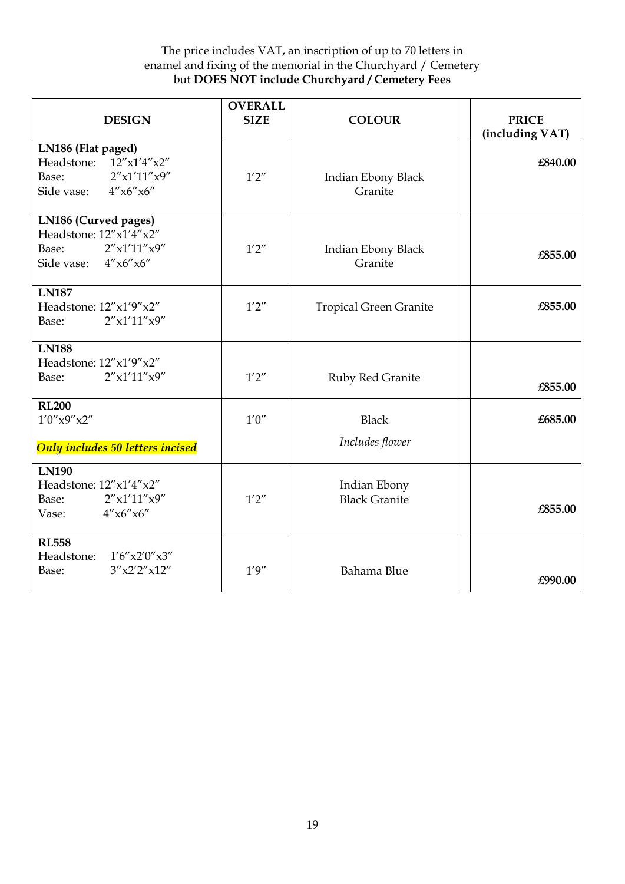| <b>DESIGN</b>                                                                                         | <b>OVERALL</b><br><b>SIZE</b> | <b>COLOUR</b>                        | <b>PRICE</b><br>(including VAT) |
|-------------------------------------------------------------------------------------------------------|-------------------------------|--------------------------------------|---------------------------------|
| LN186 (Flat paged)<br>Headstone: 12"x1'4"x2"<br>2''x1'11''x9''<br>Base:<br>4''x6''x6''<br>Side vase:  | 1'2''                         | Indian Ebony Black<br>Granite        | £840.00                         |
| LN186 (Curved pages)<br>Headstone: 12"x1'4"x2"<br>2''x1'11''x9''<br>Base:<br>Side vase: $4''x6''x6''$ | 1'2''                         | Indian Ebony Black<br>Granite        | £855.00                         |
| <b>LN187</b><br>Headstone: 12"x1'9"x2"<br>2''x1'11''x9''<br>Base:                                     | 1'2''                         | <b>Tropical Green Granite</b>        | £855.00                         |
| <b>LN188</b><br>Headstone: 12"x1'9"x2"<br>2''x1'11''x9''<br>Base:                                     | 1'2''                         | Ruby Red Granite                     | £855.00                         |
| <b>RL200</b><br>1'0''x9''x2''<br>Only includes 50 letters incised                                     | 1'0''                         | <b>Black</b><br>Includes flower      | £685.00                         |
| <b>LN190</b><br>Headstone: $12''x1'4''x2''$<br>2''x1'11''x9''<br>Base:<br>4''x6''x6''<br>Vase:        | 1'2''                         | Indian Ebony<br><b>Black Granite</b> | £855.00                         |
| <b>RL558</b><br>Headstone:<br>1'6''x2'0''x3''<br>3''x2'2''x12''<br>Base:                              | 1'9''                         | Bahama Blue                          | £990.00                         |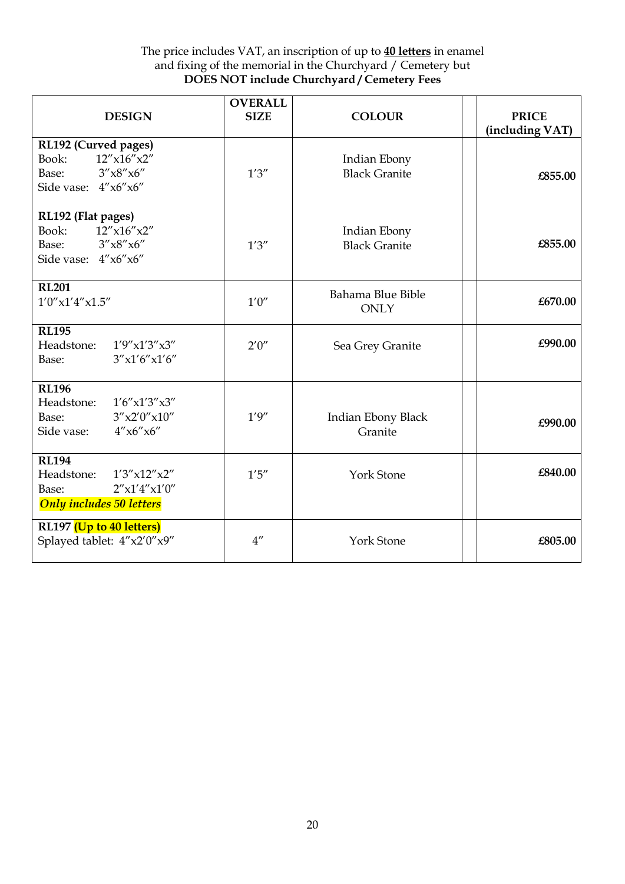| <b>DESIGN</b>                                                                                               | <b>OVERALL</b><br><b>SIZE</b> | <b>COLOUR</b>                        | <b>PRICE</b><br>(including VAT) |
|-------------------------------------------------------------------------------------------------------------|-------------------------------|--------------------------------------|---------------------------------|
| RL192 (Curved pages)<br>$12''$ x $16''$ x $2''$<br>Book:<br>3''x8''x6''<br>Base:<br>Side vase: 4"x6"x6"     | 1'3''                         | Indian Ebony<br><b>Black Granite</b> | £855.00                         |
| RL192 (Flat pages)<br>$12''$ x $16''$ x $2''$<br>Book:<br>3''x8''x6''<br>Base:<br>Side vase: 4"x6"x6"       | 1'3''                         | Indian Ebony<br><b>Black Granite</b> | £855.00                         |
| <b>RL201</b><br>$1'0''$ x $1'4''$ x $1.5''$                                                                 | 1'0''                         | Bahama Blue Bible<br><b>ONLY</b>     | £670.00                         |
| <b>RL195</b><br>Headstone:<br>1'9''x1'3''x3''<br>3''x1'6''x1'6''<br>Base:                                   | 2'0''                         | Sea Grey Granite                     | £990.00                         |
| <b>RL196</b><br>Headstone:<br>1'6''x1'3''x3''<br>3''x2'0''x10''<br>Base:<br>4''x6''x6''<br>Side vase:       | 1'9''                         | Indian Ebony Black<br>Granite        | £990.00                         |
| <b>RL194</b><br>Headstone:<br>1'3''x12''x2''<br>2''x1'4''x1'0''<br>Base:<br><b>Only includes 50 letters</b> | 1'5''                         | <b>York Stone</b>                    | £840.00                         |
| RL197 (Up to 40 letters)<br>Splayed tablet: $4''x2'0''x9''$                                                 | $4^{\prime\prime}$            | <b>York Stone</b>                    | £805.00                         |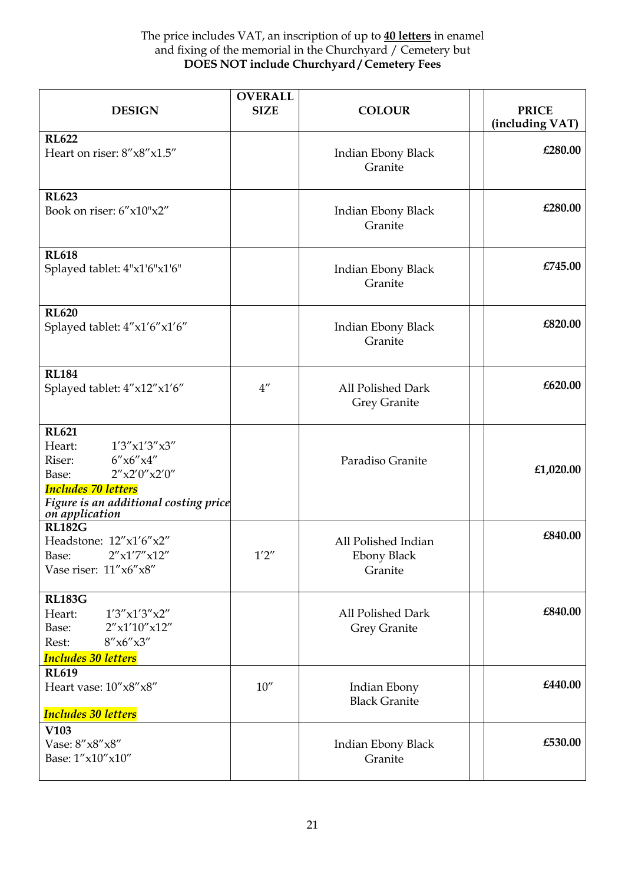| <b>DESIGN</b>                                                                                                                                                                           | <b>OVERALL</b><br><b>SIZE</b> | <b>COLOUR</b>                                        | <b>PRICE</b><br>(including VAT) |
|-----------------------------------------------------------------------------------------------------------------------------------------------------------------------------------------|-------------------------------|------------------------------------------------------|---------------------------------|
| <b>RL622</b><br>Heart on riser: 8"x8"x1.5"                                                                                                                                              |                               | Indian Ebony Black<br>Granite                        | £280.00                         |
| <b>RL623</b><br>Book on riser: 6"x10"x2"                                                                                                                                                |                               | Indian Ebony Black<br>Granite                        | £280.00                         |
| <b>RL618</b><br>Splayed tablet: 4"x1'6"x1'6"                                                                                                                                            |                               | Indian Ebony Black<br>Granite                        | £745.00                         |
| <b>RL620</b><br>Splayed tablet: 4"x1'6"x1'6"                                                                                                                                            |                               | Indian Ebony Black<br>Granite                        | £820.00                         |
| <b>RL184</b><br>Splayed tablet: 4"x12"x1'6"                                                                                                                                             | $4^{\prime\prime}$            | All Polished Dark<br>Grey Granite                    | £620.00                         |
| <b>RL621</b><br>Heart:<br>1'3''x1'3''x3''<br>6''x6''x4''<br>Riser:<br>2''x2'0''x2'0''<br>Base:<br><b>Includes 70 letters</b><br>Figure is an additional costing price<br>on application |                               | Paradiso Granite                                     | £1,020.00                       |
| <b>RL182G</b><br>Headstone: 12"x1'6"x2"<br>2''x1'7''x12''<br>Base:<br>Vase riser: $11''x6''x8''$                                                                                        | 1'2''                         | All Polished Indian<br><b>Ebony Black</b><br>Granite | £840.00                         |
| <b>RL183G</b><br>Heart:<br>1'3''x1'3''x2''<br>$2''$ x1'10"x12"<br>Base:<br>8''x6''x3''<br>Rest:<br><b>Includes 30 letters</b>                                                           |                               | All Polished Dark<br>Grey Granite                    | £840.00                         |
| <b>RL619</b><br>Heart vase: $10''x8''x8''$<br><b>Includes 30 letters</b>                                                                                                                | 10''                          | Indian Ebony<br><b>Black Granite</b>                 | £440.00                         |
| V103<br>Vase: 8"x8"x8"<br>Base: 1"x10"x10"                                                                                                                                              |                               | Indian Ebony Black<br>Granite                        | £530.00                         |